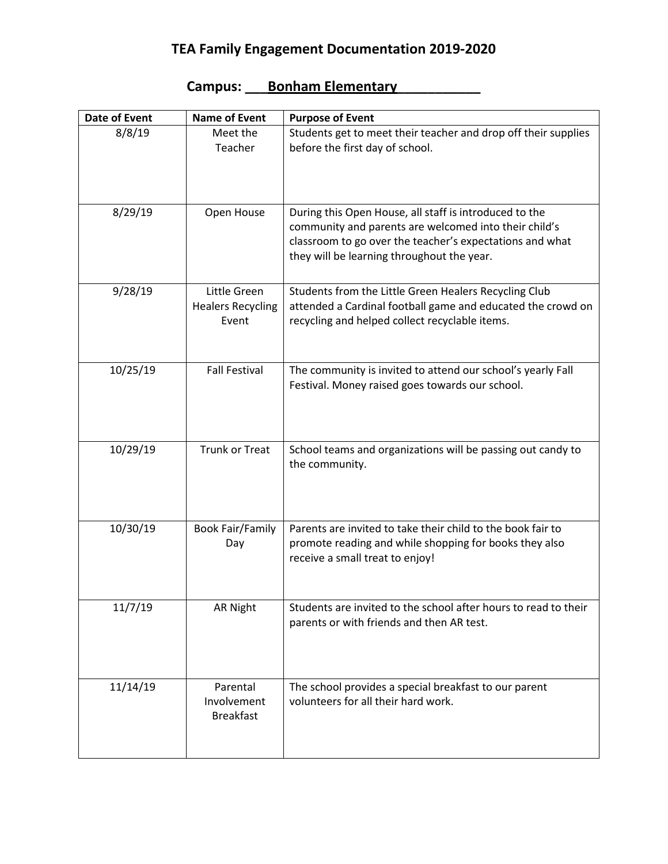## **TEA Family Engagement Documentation 2019-2020**

| Date of Event | <b>Name of Event</b>                              | <b>Purpose of Event</b>                                                                                                                                                                                                   |
|---------------|---------------------------------------------------|---------------------------------------------------------------------------------------------------------------------------------------------------------------------------------------------------------------------------|
| 8/8/19        | Meet the<br>Teacher                               | Students get to meet their teacher and drop off their supplies<br>before the first day of school.                                                                                                                         |
| 8/29/19       | Open House                                        | During this Open House, all staff is introduced to the<br>community and parents are welcomed into their child's<br>classroom to go over the teacher's expectations and what<br>they will be learning throughout the year. |
| 9/28/19       | Little Green<br><b>Healers Recycling</b><br>Event | Students from the Little Green Healers Recycling Club<br>attended a Cardinal football game and educated the crowd on<br>recycling and helped collect recyclable items.                                                    |
| 10/25/19      | <b>Fall Festival</b>                              | The community is invited to attend our school's yearly Fall<br>Festival. Money raised goes towards our school.                                                                                                            |
| 10/29/19      | <b>Trunk or Treat</b>                             | School teams and organizations will be passing out candy to<br>the community.                                                                                                                                             |
| 10/30/19      | <b>Book Fair/Family</b><br>Day                    | Parents are invited to take their child to the book fair to<br>promote reading and while shopping for books they also<br>receive a small treat to enjoy!                                                                  |
| 11/7/19       | <b>AR Night</b>                                   | Students are invited to the school after hours to read to their<br>parents or with friends and then AR test.                                                                                                              |
| 11/14/19      | Parental<br>Involvement<br><b>Breakfast</b>       | The school provides a special breakfast to our parent<br>volunteers for all their hard work.                                                                                                                              |

## **Campus: \_\_\_Bonham Elementary\_\_\_\_\_\_\_\_\_\_\_**